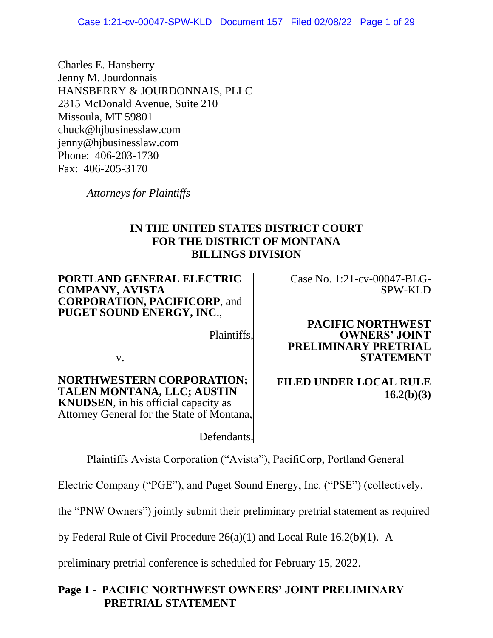Charles E. Hansberry Jenny M. Jourdonnais HANSBERRY & JOURDONNAIS, PLLC 2315 McDonald Avenue, Suite 210 Missoula, MT 59801 chuck@hjbusinesslaw.com jenny@hjbusinesslaw.com Phone: 406-203-1730 Fax: 406-205-3170

*Attorneys for Plaintiffs*

# **IN THE UNITED STATES DISTRICT COURT FOR THE DISTRICT OF MONTANA BILLINGS DIVISION**

**PORTLAND GENERAL ELECTRIC COMPANY, AVISTA CORPORATION, PACIFICORP**, and **PUGET SOUND ENERGY, INC**.,

Case No. 1:21-cv-00047-BLG-SPW-KLD

Plaintiffs,

v.

**NORTHWESTERN CORPORATION; TALEN MONTANA, LLC; AUSTIN KNUDSEN**, in his official capacity as Attorney General for the State of Montana,

Defendants.

**PACIFIC NORTHWEST OWNERS' JOINT PRELIMINARY PRETRIAL STATEMENT**

# **FILED UNDER LOCAL RULE 16.2(b)(3)**

Plaintiffs Avista Corporation ("Avista"), PacifiCorp, Portland General

Electric Company ("PGE"), and Puget Sound Energy, Inc. ("PSE") (collectively,

the "PNW Owners") jointly submit their preliminary pretrial statement as required

by Federal Rule of Civil Procedure 26(a)(1) and Local Rule 16.2(b)(1). A

preliminary pretrial conference is scheduled for February 15, 2022.

# **Page 1 - PACIFIC NORTHWEST OWNERS' JOINT PRELIMINARY PRETRIAL STATEMENT**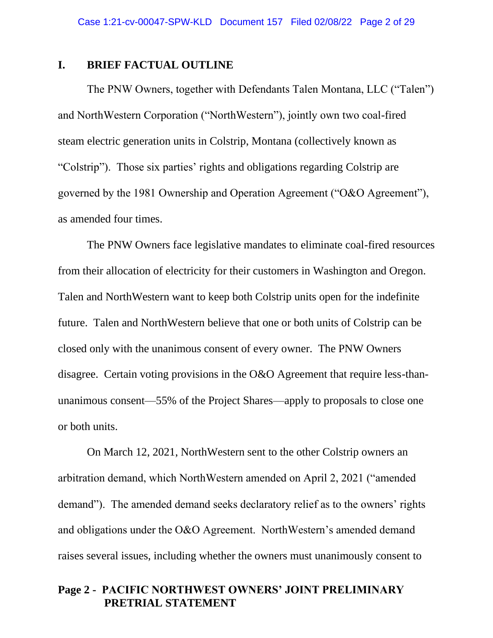#### **I. BRIEF FACTUAL OUTLINE**

The PNW Owners, together with Defendants Talen Montana, LLC ("Talen") and NorthWestern Corporation ("NorthWestern"), jointly own two coal-fired steam electric generation units in Colstrip, Montana (collectively known as "Colstrip"). Those six parties' rights and obligations regarding Colstrip are governed by the 1981 Ownership and Operation Agreement ("O&O Agreement"), as amended four times.

The PNW Owners face legislative mandates to eliminate coal-fired resources from their allocation of electricity for their customers in Washington and Oregon. Talen and NorthWestern want to keep both Colstrip units open for the indefinite future. Talen and NorthWestern believe that one or both units of Colstrip can be closed only with the unanimous consent of every owner. The PNW Owners disagree. Certain voting provisions in the O&O Agreement that require less-thanunanimous consent—55% of the Project Shares—apply to proposals to close one or both units.

On March 12, 2021, NorthWestern sent to the other Colstrip owners an arbitration demand, which NorthWestern amended on April 2, 2021 ("amended demand"). The amended demand seeks declaratory relief as to the owners' rights and obligations under the O&O Agreement. NorthWestern's amended demand raises several issues, including whether the owners must unanimously consent to

#### **Page 2 - PACIFIC NORTHWEST OWNERS' JOINT PRELIMINARY PRETRIAL STATEMENT**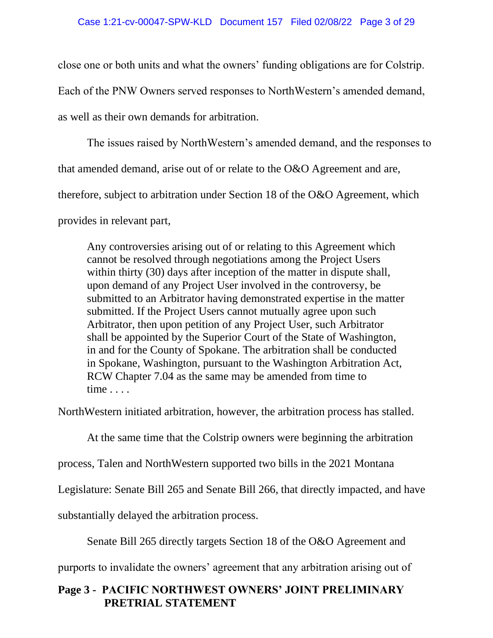close one or both units and what the owners' funding obligations are for Colstrip.

Each of the PNW Owners served responses to NorthWestern's amended demand,

as well as their own demands for arbitration.

The issues raised by NorthWestern's amended demand, and the responses to

that amended demand, arise out of or relate to the O&O Agreement and are,

therefore, subject to arbitration under Section 18 of the O&O Agreement, which

provides in relevant part,

Any controversies arising out of or relating to this Agreement which cannot be resolved through negotiations among the Project Users within thirty (30) days after inception of the matter in dispute shall, upon demand of any Project User involved in the controversy, be submitted to an Arbitrator having demonstrated expertise in the matter submitted. If the Project Users cannot mutually agree upon such Arbitrator, then upon petition of any Project User, such Arbitrator shall be appointed by the Superior Court of the State of Washington, in and for the County of Spokane. The arbitration shall be conducted in Spokane, Washington, pursuant to the Washington Arbitration Act, RCW Chapter 7.04 as the same may be amended from time to time . . . .

NorthWestern initiated arbitration, however, the arbitration process has stalled.

At the same time that the Colstrip owners were beginning the arbitration

process, Talen and NorthWestern supported two bills in the 2021 Montana

Legislature: Senate Bill 265 and Senate Bill 266, that directly impacted, and have

substantially delayed the arbitration process.

Senate Bill 265 directly targets Section 18 of the O&O Agreement and

purports to invalidate the owners' agreement that any arbitration arising out of

## **Page 3 - PACIFIC NORTHWEST OWNERS' JOINT PRELIMINARY PRETRIAL STATEMENT**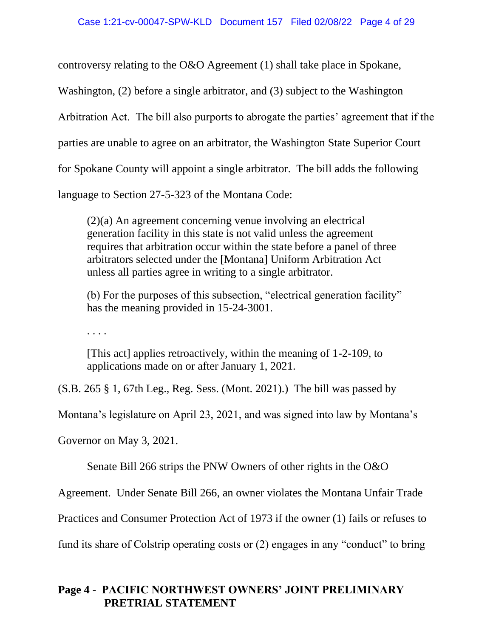controversy relating to the O&O Agreement (1) shall take place in Spokane,

Washington, (2) before a single arbitrator, and (3) subject to the Washington

Arbitration Act. The bill also purports to abrogate the parties' agreement that if the

parties are unable to agree on an arbitrator, the Washington State Superior Court

for Spokane County will appoint a single arbitrator. The bill adds the following

language to Section 27-5-323 of the Montana Code:

(2)(a) An agreement concerning venue involving an electrical generation facility in this state is not valid unless the agreement requires that arbitration occur within the state before a panel of three arbitrators selected under the [Montana] Uniform Arbitration Act unless all parties agree in writing to a single arbitrator.

(b) For the purposes of this subsection, "electrical generation facility" has the meaning provided in 15-24-3001.

. . . .

[This act] applies retroactively, within the meaning of 1-2-109, to applications made on or after January 1, 2021.

(S.B. 265 § 1, 67th Leg., Reg. Sess. (Mont. 2021).) The bill was passed by

Montana's legislature on April 23, 2021, and was signed into law by Montana's

Governor on May 3, 2021.

Senate Bill 266 strips the PNW Owners of other rights in the O&O

Agreement. Under Senate Bill 266, an owner violates the Montana Unfair Trade

Practices and Consumer Protection Act of 1973 if the owner (1) fails or refuses to

fund its share of Colstrip operating costs or (2) engages in any "conduct" to bring

# **Page 4 - PACIFIC NORTHWEST OWNERS' JOINT PRELIMINARY PRETRIAL STATEMENT**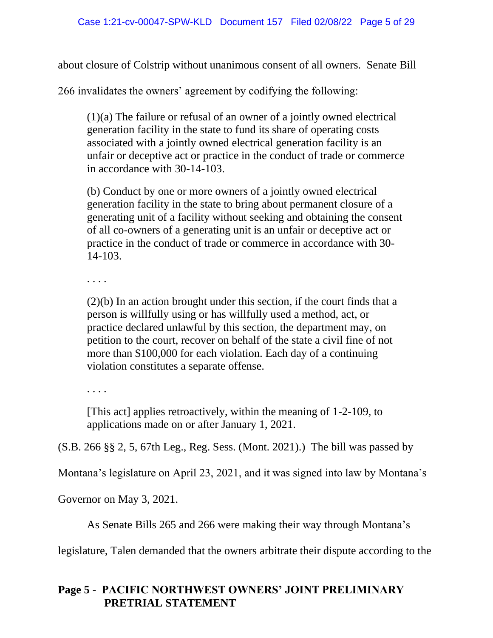about closure of Colstrip without unanimous consent of all owners. Senate Bill

266 invalidates the owners' agreement by codifying the following:

(1)(a) The failure or refusal of an owner of a jointly owned electrical generation facility in the state to fund its share of operating costs associated with a jointly owned electrical generation facility is an unfair or deceptive act or practice in the conduct of trade or commerce in accordance with 30-14-103.

(b) Conduct by one or more owners of a jointly owned electrical generation facility in the state to bring about permanent closure of a generating unit of a facility without seeking and obtaining the consent of all co-owners of a generating unit is an unfair or deceptive act or practice in the conduct of trade or commerce in accordance with 30- 14-103.

. . . .

(2)(b) In an action brought under this section, if the court finds that a person is willfully using or has willfully used a method, act, or practice declared unlawful by this section, the department may, on petition to the court, recover on behalf of the state a civil fine of not more than \$100,000 for each violation. Each day of a continuing violation constitutes a separate offense.

. . . .

[This act] applies retroactively, within the meaning of 1-2-109, to applications made on or after January 1, 2021.

(S.B. 266 §§ 2, 5, 67th Leg., Reg. Sess. (Mont. 2021).) The bill was passed by

Montana's legislature on April 23, 2021, and it was signed into law by Montana's

Governor on May 3, 2021.

As Senate Bills 265 and 266 were making their way through Montana's

legislature, Talen demanded that the owners arbitrate their dispute according to the

# **Page 5 - PACIFIC NORTHWEST OWNERS' JOINT PRELIMINARY PRETRIAL STATEMENT**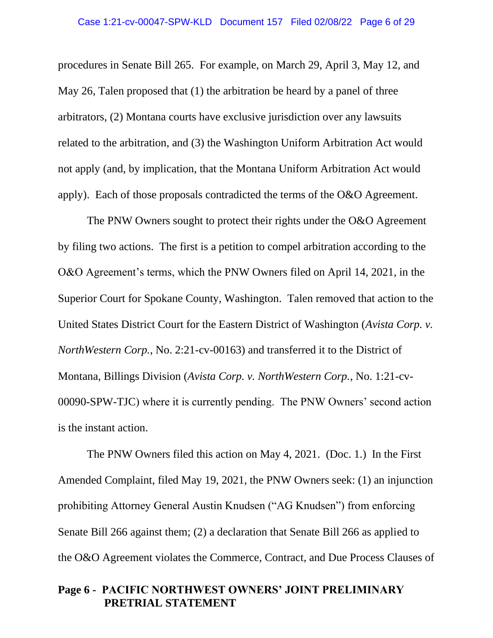procedures in Senate Bill 265. For example, on March 29, April 3, May 12, and May 26, Talen proposed that (1) the arbitration be heard by a panel of three arbitrators, (2) Montana courts have exclusive jurisdiction over any lawsuits related to the arbitration, and (3) the Washington Uniform Arbitration Act would not apply (and, by implication, that the Montana Uniform Arbitration Act would apply). Each of those proposals contradicted the terms of the O&O Agreement.

The PNW Owners sought to protect their rights under the O&O Agreement by filing two actions. The first is a petition to compel arbitration according to the O&O Agreement's terms, which the PNW Owners filed on April 14, 2021, in the Superior Court for Spokane County, Washington. Talen removed that action to the United States District Court for the Eastern District of Washington (*Avista Corp. v. NorthWestern Corp.*, No. 2:21-cv-00163) and transferred it to the District of Montana, Billings Division (*Avista Corp. v. NorthWestern Corp.*, No. 1:21-cv-00090-SPW-TJC) where it is currently pending. The PNW Owners' second action is the instant action.

The PNW Owners filed this action on May 4, 2021. (Doc. 1.) In the First Amended Complaint, filed May 19, 2021, the PNW Owners seek: (1) an injunction prohibiting Attorney General Austin Knudsen ("AG Knudsen") from enforcing Senate Bill 266 against them; (2) a declaration that Senate Bill 266 as applied to the O&O Agreement violates the Commerce, Contract, and Due Process Clauses of

#### **Page 6 - PACIFIC NORTHWEST OWNERS' JOINT PRELIMINARY PRETRIAL STATEMENT**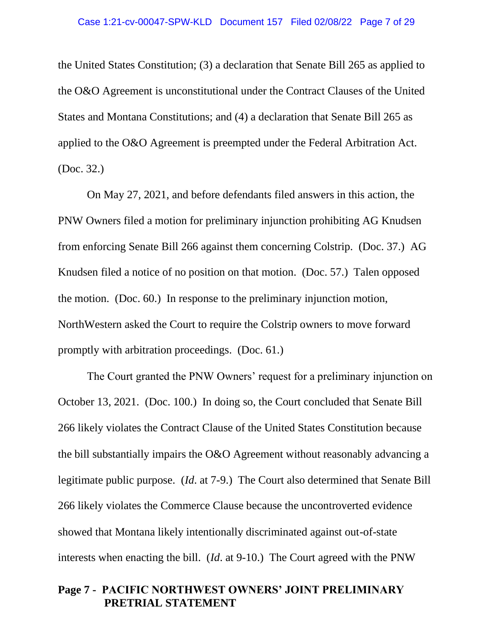the United States Constitution; (3) a declaration that Senate Bill 265 as applied to the O&O Agreement is unconstitutional under the Contract Clauses of the United States and Montana Constitutions; and (4) a declaration that Senate Bill 265 as applied to the O&O Agreement is preempted under the Federal Arbitration Act. (Doc. 32.)

On May 27, 2021, and before defendants filed answers in this action, the PNW Owners filed a motion for preliminary injunction prohibiting AG Knudsen from enforcing Senate Bill 266 against them concerning Colstrip. (Doc. 37.) AG Knudsen filed a notice of no position on that motion. (Doc. 57.) Talen opposed the motion. (Doc. 60.) In response to the preliminary injunction motion, NorthWestern asked the Court to require the Colstrip owners to move forward promptly with arbitration proceedings. (Doc. 61.)

The Court granted the PNW Owners' request for a preliminary injunction on October 13, 2021. (Doc. 100.) In doing so, the Court concluded that Senate Bill 266 likely violates the Contract Clause of the United States Constitution because the bill substantially impairs the O&O Agreement without reasonably advancing a legitimate public purpose. (*Id*. at 7-9.) The Court also determined that Senate Bill 266 likely violates the Commerce Clause because the uncontroverted evidence showed that Montana likely intentionally discriminated against out-of-state interests when enacting the bill. (*Id*. at 9-10.) The Court agreed with the PNW

#### **Page 7 - PACIFIC NORTHWEST OWNERS' JOINT PRELIMINARY PRETRIAL STATEMENT**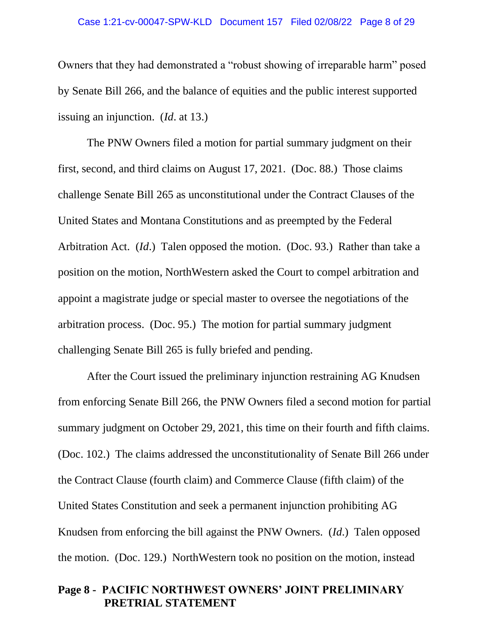#### Case 1:21-cv-00047-SPW-KLD Document 157 Filed 02/08/22 Page 8 of 29

Owners that they had demonstrated a "robust showing of irreparable harm" posed by Senate Bill 266, and the balance of equities and the public interest supported issuing an injunction. (*Id*. at 13.)

The PNW Owners filed a motion for partial summary judgment on their first, second, and third claims on August 17, 2021. (Doc. 88.) Those claims challenge Senate Bill 265 as unconstitutional under the Contract Clauses of the United States and Montana Constitutions and as preempted by the Federal Arbitration Act. (*Id*.) Talen opposed the motion. (Doc. 93.) Rather than take a position on the motion, NorthWestern asked the Court to compel arbitration and appoint a magistrate judge or special master to oversee the negotiations of the arbitration process. (Doc. 95.) The motion for partial summary judgment challenging Senate Bill 265 is fully briefed and pending.

After the Court issued the preliminary injunction restraining AG Knudsen from enforcing Senate Bill 266, the PNW Owners filed a second motion for partial summary judgment on October 29, 2021, this time on their fourth and fifth claims. (Doc. 102.) The claims addressed the unconstitutionality of Senate Bill 266 under the Contract Clause (fourth claim) and Commerce Clause (fifth claim) of the United States Constitution and seek a permanent injunction prohibiting AG Knudsen from enforcing the bill against the PNW Owners. (*Id*.) Talen opposed the motion. (Doc. 129.) NorthWestern took no position on the motion, instead

#### **Page 8 - PACIFIC NORTHWEST OWNERS' JOINT PRELIMINARY PRETRIAL STATEMENT**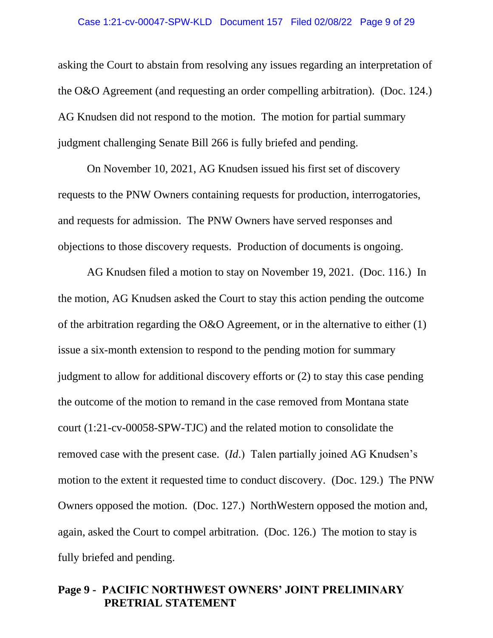#### Case 1:21-cv-00047-SPW-KLD Document 157 Filed 02/08/22 Page 9 of 29

asking the Court to abstain from resolving any issues regarding an interpretation of the O&O Agreement (and requesting an order compelling arbitration). (Doc. 124.) AG Knudsen did not respond to the motion. The motion for partial summary judgment challenging Senate Bill 266 is fully briefed and pending.

On November 10, 2021, AG Knudsen issued his first set of discovery requests to the PNW Owners containing requests for production, interrogatories, and requests for admission. The PNW Owners have served responses and objections to those discovery requests. Production of documents is ongoing.

AG Knudsen filed a motion to stay on November 19, 2021. (Doc. 116.) In the motion, AG Knudsen asked the Court to stay this action pending the outcome of the arbitration regarding the O&O Agreement, or in the alternative to either (1) issue a six-month extension to respond to the pending motion for summary judgment to allow for additional discovery efforts or (2) to stay this case pending the outcome of the motion to remand in the case removed from Montana state court (1:21-cv-00058-SPW-TJC) and the related motion to consolidate the removed case with the present case. (*Id*.) Talen partially joined AG Knudsen's motion to the extent it requested time to conduct discovery. (Doc. 129.) The PNW Owners opposed the motion. (Doc. 127.) NorthWestern opposed the motion and, again, asked the Court to compel arbitration. (Doc. 126.) The motion to stay is fully briefed and pending.

#### **Page 9 - PACIFIC NORTHWEST OWNERS' JOINT PRELIMINARY PRETRIAL STATEMENT**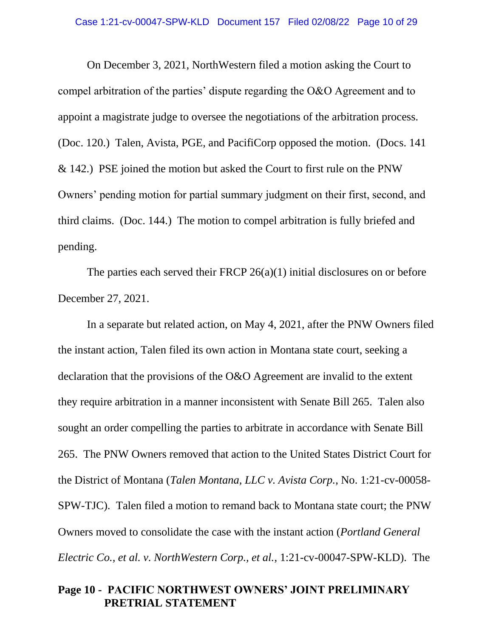On December 3, 2021, NorthWestern filed a motion asking the Court to compel arbitration of the parties' dispute regarding the O&O Agreement and to appoint a magistrate judge to oversee the negotiations of the arbitration process. (Doc. 120.) Talen, Avista, PGE, and PacifiCorp opposed the motion. (Docs. 141 & 142.) PSE joined the motion but asked the Court to first rule on the PNW Owners' pending motion for partial summary judgment on their first, second, and third claims. (Doc. 144.) The motion to compel arbitration is fully briefed and pending.

The parties each served their FRCP 26(a)(1) initial disclosures on or before December 27, 2021.

In a separate but related action, on May 4, 2021, after the PNW Owners filed the instant action, Talen filed its own action in Montana state court, seeking a declaration that the provisions of the O&O Agreement are invalid to the extent they require arbitration in a manner inconsistent with Senate Bill 265. Talen also sought an order compelling the parties to arbitrate in accordance with Senate Bill 265. The PNW Owners removed that action to the United States District Court for the District of Montana (*Talen Montana, LLC v. Avista Corp.*, No. 1:21-cv-00058- SPW-TJC). Talen filed a motion to remand back to Montana state court; the PNW Owners moved to consolidate the case with the instant action (*Portland General Electric Co., et al. v. NorthWestern Corp., et al.*, 1:21-cv-00047-SPW-KLD). The

#### **Page 10 - PACIFIC NORTHWEST OWNERS' JOINT PRELIMINARY PRETRIAL STATEMENT**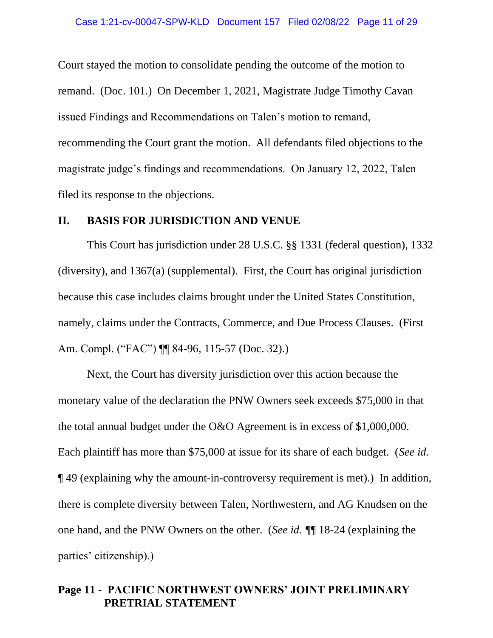Court stayed the motion to consolidate pending the outcome of the motion to remand. (Doc. 101.) On December 1, 2021, Magistrate Judge Timothy Cavan issued Findings and Recommendations on Talen's motion to remand, recommending the Court grant the motion. All defendants filed objections to the magistrate judge's findings and recommendations. On January 12, 2022, Talen filed its response to the objections.

#### **II. BASIS FOR JURISDICTION AND VENUE**

This Court has jurisdiction under 28 U.S.C. §§ 1331 (federal question), 1332 (diversity), and 1367(a) (supplemental). First, the Court has original jurisdiction because this case includes claims brought under the United States Constitution, namely, claims under the Contracts, Commerce, and Due Process Clauses. (First Am. Compl. ("FAC") ¶¶ 84-96, 115-57 (Doc. 32).)

Next, the Court has diversity jurisdiction over this action because the monetary value of the declaration the PNW Owners seek exceeds \$75,000 in that the total annual budget under the O&O Agreement is in excess of \$1,000,000. Each plaintiff has more than \$75,000 at issue for its share of each budget. (*See id.* ¶ 49 (explaining why the amount-in-controversy requirement is met).) In addition, there is complete diversity between Talen, Northwestern, and AG Knudsen on the one hand, and the PNW Owners on the other. (*See id. ¶*¶ 18-24 (explaining the parties' citizenship).)

#### **Page 11 - PACIFIC NORTHWEST OWNERS' JOINT PRELIMINARY PRETRIAL STATEMENT**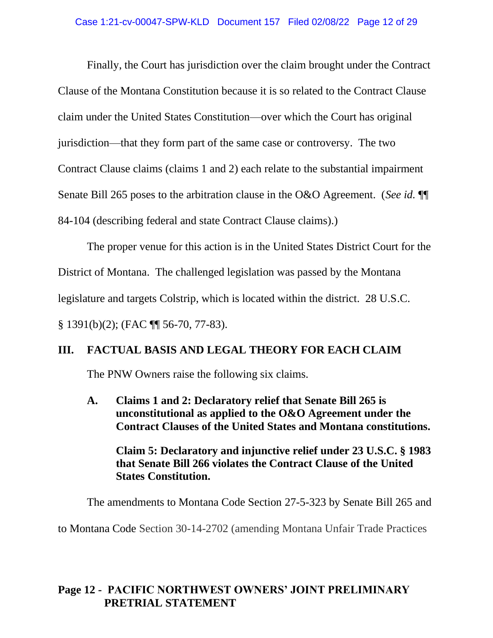Finally, the Court has jurisdiction over the claim brought under the Contract Clause of the Montana Constitution because it is so related to the Contract Clause claim under the United States Constitution—over which the Court has original jurisdiction—that they form part of the same case or controversy. The two Contract Clause claims (claims 1 and 2) each relate to the substantial impairment Senate Bill 265 poses to the arbitration clause in the O&O Agreement. (*See id.* ¶¶ 84-104 (describing federal and state Contract Clause claims).)

The proper venue for this action is in the United States District Court for the District of Montana. The challenged legislation was passed by the Montana legislature and targets Colstrip, which is located within the district. 28 U.S.C. § 1391(b)(2); (FAC ¶¶ 56-70, 77-83).

## **III. FACTUAL BASIS AND LEGAL THEORY FOR EACH CLAIM**

The PNW Owners raise the following six claims.

**A. Claims 1 and 2: Declaratory relief that Senate Bill 265 is unconstitutional as applied to the O&O Agreement under the Contract Clauses of the United States and Montana constitutions.** 

**Claim 5: Declaratory and injunctive relief under 23 U.S.C. § 1983 that Senate Bill 266 violates the Contract Clause of the United States Constitution.**

The amendments to Montana Code Section 27-5-323 by Senate Bill 265 and

to Montana Code Section 30-14-2702 (amending Montana Unfair Trade Practices

## **Page 12 - PACIFIC NORTHWEST OWNERS' JOINT PRELIMINARY PRETRIAL STATEMENT**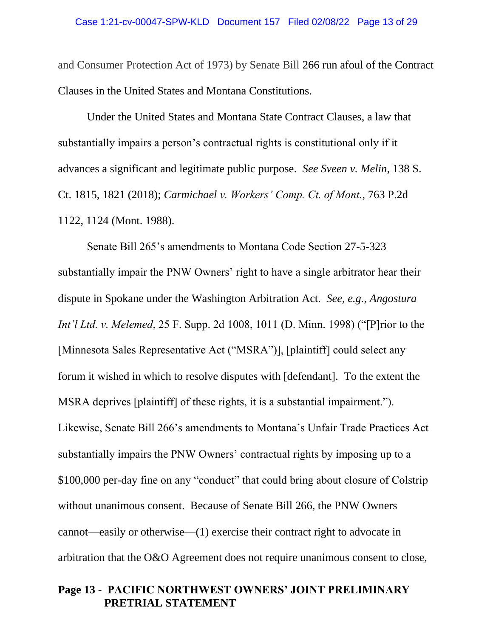and Consumer Protection Act of 1973) by Senate Bill 266 run afoul of the Contract Clauses in the United States and Montana Constitutions.

Under the United States and Montana State Contract Clauses, a law that substantially impairs a person's contractual rights is constitutional only if it advances a significant and legitimate public purpose. *See Sveen v. Melin*, 138 S. Ct. 1815, 1821 (2018); *Carmichael v. Workers' Comp. Ct. of Mont.*, 763 P.2d 1122, 1124 (Mont. 1988).

Senate Bill 265's amendments to Montana Code Section 27-5-323 substantially impair the PNW Owners' right to have a single arbitrator hear their dispute in Spokane under the Washington Arbitration Act. *See, e.g.*, *Angostura Int'l Ltd. v. Melemed*, 25 F. Supp. 2d 1008, 1011 (D. Minn. 1998) ("[P]rior to the [Minnesota Sales Representative Act ("MSRA")], [plaintiff] could select any forum it wished in which to resolve disputes with [defendant]. To the extent the MSRA deprives [plaintiff] of these rights, it is a substantial impairment."). Likewise, Senate Bill 266's amendments to Montana's Unfair Trade Practices Act substantially impairs the PNW Owners' contractual rights by imposing up to a \$100,000 per-day fine on any "conduct" that could bring about closure of Colstrip without unanimous consent. Because of Senate Bill 266, the PNW Owners cannot—easily or otherwise—(1) exercise their contract right to advocate in arbitration that the O&O Agreement does not require unanimous consent to close,

#### **Page 13 - PACIFIC NORTHWEST OWNERS' JOINT PRELIMINARY PRETRIAL STATEMENT**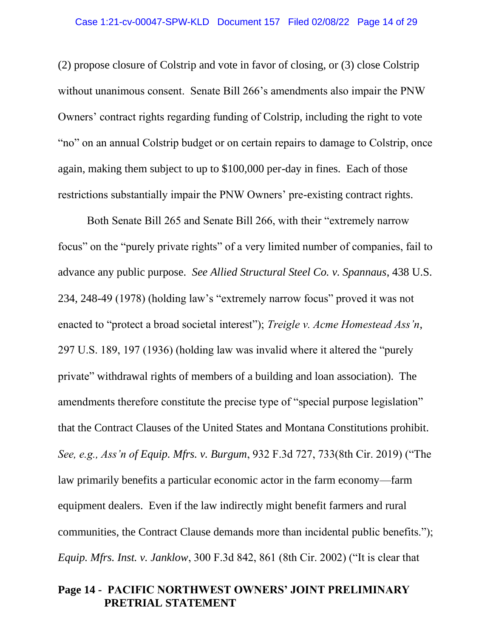(2) propose closure of Colstrip and vote in favor of closing, or (3) close Colstrip without unanimous consent. Senate Bill 266's amendments also impair the PNW Owners' contract rights regarding funding of Colstrip, including the right to vote "no" on an annual Colstrip budget or on certain repairs to damage to Colstrip, once again, making them subject to up to \$100,000 per-day in fines. Each of those restrictions substantially impair the PNW Owners' pre-existing contract rights.

Both Senate Bill 265 and Senate Bill 266, with their "extremely narrow focus" on the "purely private rights" of a very limited number of companies, fail to advance any public purpose. *See Allied Structural Steel Co. v. Spannaus*, 438 U.S. 234, 248-49 (1978) (holding law's "extremely narrow focus" proved it was not enacted to "protect a broad societal interest"); *Treigle v. Acme Homestead Ass'n*, 297 U.S. 189, 197 (1936) (holding law was invalid where it altered the "purely private" withdrawal rights of members of a building and loan association). The amendments therefore constitute the precise type of "special purpose legislation" that the Contract Clauses of the United States and Montana Constitutions prohibit. *See, e.g., Ass'n of Equip. Mfrs. v. Burgum*, 932 F.3d 727, 733(8th Cir. 2019) ("The law primarily benefits a particular economic actor in the farm economy—farm equipment dealers. Even if the law indirectly might benefit farmers and rural communities, the Contract Clause demands more than incidental public benefits."); *Equip. Mfrs. Inst. v. Janklow*, 300 F.3d 842, 861 (8th Cir. 2002) ("It is clear that

#### **Page 14 - PACIFIC NORTHWEST OWNERS' JOINT PRELIMINARY PRETRIAL STATEMENT**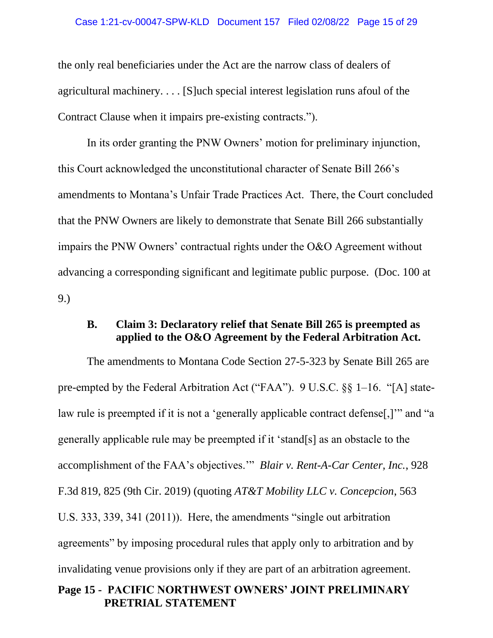#### Case 1:21-cv-00047-SPW-KLD Document 157 Filed 02/08/22 Page 15 of 29

the only real beneficiaries under the Act are the narrow class of dealers of agricultural machinery. . . . [S]uch special interest legislation runs afoul of the Contract Clause when it impairs pre-existing contracts.").

In its order granting the PNW Owners' motion for preliminary injunction, this Court acknowledged the unconstitutional character of Senate Bill 266's amendments to Montana's Unfair Trade Practices Act. There, the Court concluded that the PNW Owners are likely to demonstrate that Senate Bill 266 substantially impairs the PNW Owners' contractual rights under the O&O Agreement without advancing a corresponding significant and legitimate public purpose. (Doc. 100 at 9.)

## **B. Claim 3: Declaratory relief that Senate Bill 265 is preempted as applied to the O&O Agreement by the Federal Arbitration Act.**

**Page 15 - PACIFIC NORTHWEST OWNERS' JOINT PRELIMINARY** The amendments to Montana Code Section 27-5-323 by Senate Bill 265 are pre-empted by the Federal Arbitration Act ("FAA"). 9 U.S.C. §§ 1–16. "[A] statelaw rule is preempted if it is not a 'generally applicable contract defense. [1] and "a generally applicable rule may be preempted if it 'stand[s] as an obstacle to the accomplishment of the FAA's objectives.'" *Blair v. Rent-A-Car Center, Inc.*, 928 F.3d 819, 825 (9th Cir. 2019) (quoting *AT&T Mobility LLC v. Concepcion*, 563 U.S. 333, 339, 341 (2011)). Here, the amendments "single out arbitration agreements" by imposing procedural rules that apply only to arbitration and by invalidating venue provisions only if they are part of an arbitration agreement.

# **PRETRIAL STATEMENT**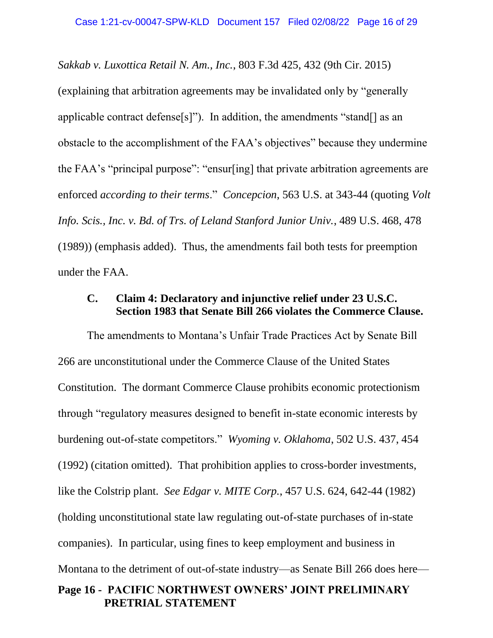*Sakkab v. Luxottica Retail N. Am., Inc.*, 803 F.3d 425, 432 (9th Cir. 2015)

(explaining that arbitration agreements may be invalidated only by "generally applicable contract defense[s]"). In addition, the amendments "stand[] as an obstacle to the accomplishment of the FAA's objectives" because they undermine the FAA's "principal purpose": "ensur[ing] that private arbitration agreements are enforced *according to their terms*." *Concepcion*, 563 U.S. at 343-44 (quoting *Volt Info. Scis., Inc. v. Bd. of Trs. of Leland Stanford Junior Univ.*, 489 U.S. 468, 478 (1989)) (emphasis added). Thus, the amendments fail both tests for preemption under the FAA.

## **C. Claim 4: Declaratory and injunctive relief under 23 U.S.C. Section 1983 that Senate Bill 266 violates the Commerce Clause.**

**Page 16 - PACIFIC NORTHWEST OWNERS' JOINT PRELIMINARY PRETRIAL STATEMENT** The amendments to Montana's Unfair Trade Practices Act by Senate Bill 266 are unconstitutional under the Commerce Clause of the United States Constitution. The dormant Commerce Clause prohibits economic protectionism through "regulatory measures designed to benefit in-state economic interests by burdening out-of-state competitors." *Wyoming v. Oklahoma*, 502 U.S. 437, 454 (1992) (citation omitted). That prohibition applies to cross-border investments, like the Colstrip plant. *See Edgar v. MITE Corp.*, 457 U.S. 624, 642-44 (1982) (holding unconstitutional state law regulating out-of-state purchases of in-state companies). In particular, using fines to keep employment and business in Montana to the detriment of out-of-state industry—as Senate Bill 266 does here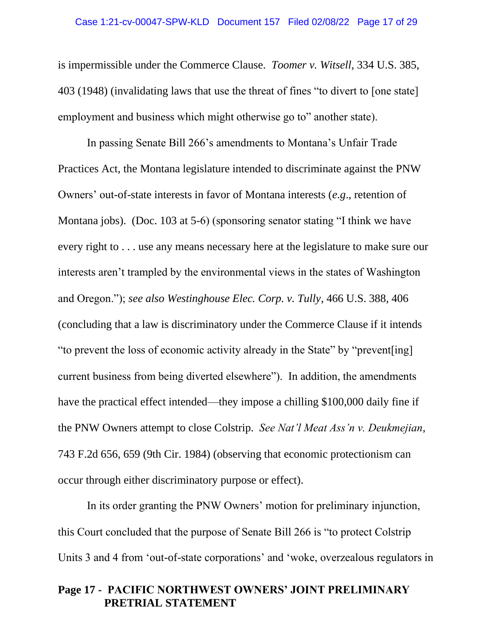is impermissible under the Commerce Clause. *Toomer v. Witsell*, 334 U.S. 385, 403 (1948) (invalidating laws that use the threat of fines "to divert to [one state] employment and business which might otherwise go to" another state).

In passing Senate Bill 266's amendments to Montana's Unfair Trade Practices Act, the Montana legislature intended to discriminate against the PNW Owners' out-of-state interests in favor of Montana interests (*e.g*., retention of Montana jobs). (Doc. 103 at 5-6) (sponsoring senator stating "I think we have every right to . . . use any means necessary here at the legislature to make sure our interests aren't trampled by the environmental views in the states of Washington and Oregon."); *see also Westinghouse Elec. Corp. v. Tully*, 466 U.S. 388, 406 (concluding that a law is discriminatory under the Commerce Clause if it intends "to prevent the loss of economic activity already in the State" by "prevent[ing] current business from being diverted elsewhere"). In addition, the amendments have the practical effect intended—they impose a chilling \$100,000 daily fine if the PNW Owners attempt to close Colstrip. *See Nat'l Meat Ass'n v. Deukmejian*, 743 F.2d 656, 659 (9th Cir. 1984) (observing that economic protectionism can occur through either discriminatory purpose or effect).

In its order granting the PNW Owners' motion for preliminary injunction, this Court concluded that the purpose of Senate Bill 266 is "to protect Colstrip Units 3 and 4 from 'out-of-state corporations' and 'woke, overzealous regulators in

#### **Page 17 - PACIFIC NORTHWEST OWNERS' JOINT PRELIMINARY PRETRIAL STATEMENT**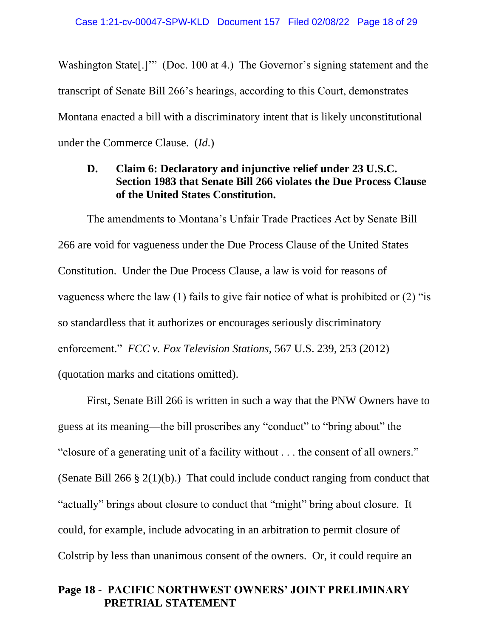Washington State<sup>[1]</sup>" (Doc. 100 at 4.) The Governor's signing statement and the transcript of Senate Bill 266's hearings, according to this Court, demonstrates Montana enacted a bill with a discriminatory intent that is likely unconstitutional under the Commerce Clause. (*Id*.)

## **D. Claim 6: Declaratory and injunctive relief under 23 U.S.C. Section 1983 that Senate Bill 266 violates the Due Process Clause of the United States Constitution.**

The amendments to Montana's Unfair Trade Practices Act by Senate Bill 266 are void for vagueness under the Due Process Clause of the United States Constitution. Under the Due Process Clause, a law is void for reasons of vagueness where the law (1) fails to give fair notice of what is prohibited or (2) "is so standardless that it authorizes or encourages seriously discriminatory enforcement." *FCC v. Fox Television Stations*, 567 U.S. 239, 253 (2012) (quotation marks and citations omitted).

First, Senate Bill 266 is written in such a way that the PNW Owners have to guess at its meaning—the bill proscribes any "conduct" to "bring about" the "closure of a generating unit of a facility without . . . the consent of all owners." (Senate Bill 266 § 2(1)(b).) That could include conduct ranging from conduct that "actually" brings about closure to conduct that "might" bring about closure. It could, for example, include advocating in an arbitration to permit closure of Colstrip by less than unanimous consent of the owners. Or, it could require an

#### **Page 18 - PACIFIC NORTHWEST OWNERS' JOINT PRELIMINARY PRETRIAL STATEMENT**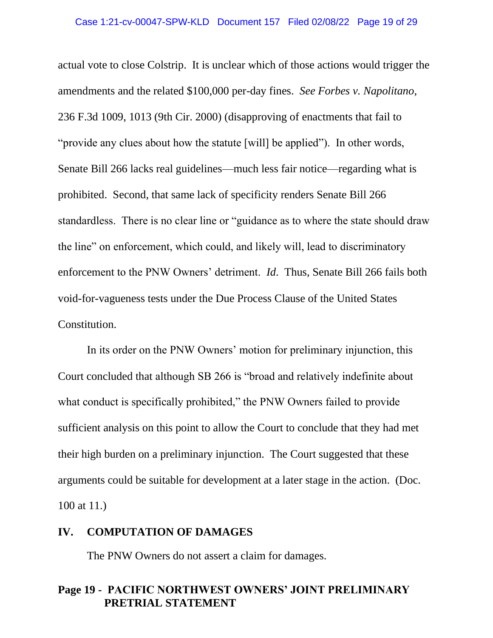actual vote to close Colstrip. It is unclear which of those actions would trigger the amendments and the related \$100,000 per-day fines. *See Forbes v. Napolitano*, 236 F.3d 1009, 1013 (9th Cir. 2000) (disapproving of enactments that fail to "provide any clues about how the statute [will] be applied"). In other words, Senate Bill 266 lacks real guidelines—much less fair notice—regarding what is prohibited. Second, that same lack of specificity renders Senate Bill 266 standardless. There is no clear line or "guidance as to where the state should draw the line" on enforcement, which could, and likely will, lead to discriminatory enforcement to the PNW Owners' detriment. *Id*. Thus, Senate Bill 266 fails both void-for-vagueness tests under the Due Process Clause of the United States Constitution.

In its order on the PNW Owners' motion for preliminary injunction, this Court concluded that although SB 266 is "broad and relatively indefinite about what conduct is specifically prohibited," the PNW Owners failed to provide sufficient analysis on this point to allow the Court to conclude that they had met their high burden on a preliminary injunction. The Court suggested that these arguments could be suitable for development at a later stage in the action. (Doc. 100 at 11.)

#### **IV. COMPUTATION OF DAMAGES**

The PNW Owners do not assert a claim for damages.

#### **Page 19 - PACIFIC NORTHWEST OWNERS' JOINT PRELIMINARY PRETRIAL STATEMENT**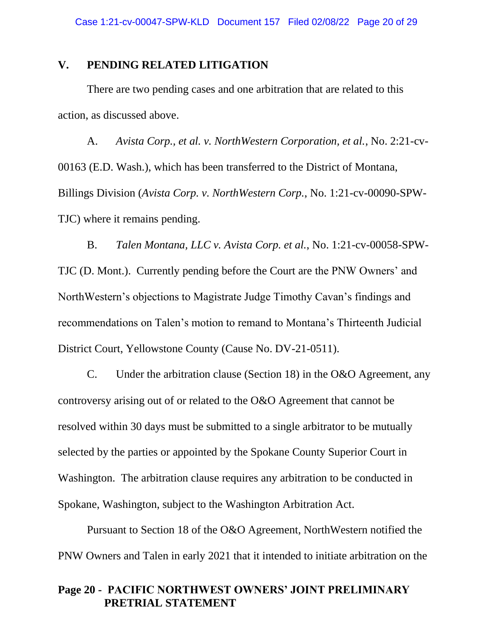#### **V. PENDING RELATED LITIGATION**

There are two pending cases and one arbitration that are related to this action, as discussed above.

A. *Avista Corp., et al. v. NorthWestern Corporation, et al.*, No. 2:21-cv-00163 (E.D. Wash.), which has been transferred to the District of Montana, Billings Division (*Avista Corp. v. NorthWestern Corp.*, No. 1:21-cv-00090-SPW-TJC) where it remains pending.

B. *Talen Montana, LLC v. Avista Corp. et al.*, No. 1:21-cv-00058-SPW-TJC (D. Mont.). Currently pending before the Court are the PNW Owners' and NorthWestern's objections to Magistrate Judge Timothy Cavan's findings and recommendations on Talen's motion to remand to Montana's Thirteenth Judicial District Court, Yellowstone County (Cause No. DV-21-0511).

C. Under the arbitration clause (Section 18) in the O&O Agreement, any controversy arising out of or related to the O&O Agreement that cannot be resolved within 30 days must be submitted to a single arbitrator to be mutually selected by the parties or appointed by the Spokane County Superior Court in Washington. The arbitration clause requires any arbitration to be conducted in Spokane, Washington, subject to the Washington Arbitration Act.

Pursuant to Section 18 of the O&O Agreement, NorthWestern notified the PNW Owners and Talen in early 2021 that it intended to initiate arbitration on the

#### **Page 20 - PACIFIC NORTHWEST OWNERS' JOINT PRELIMINARY PRETRIAL STATEMENT**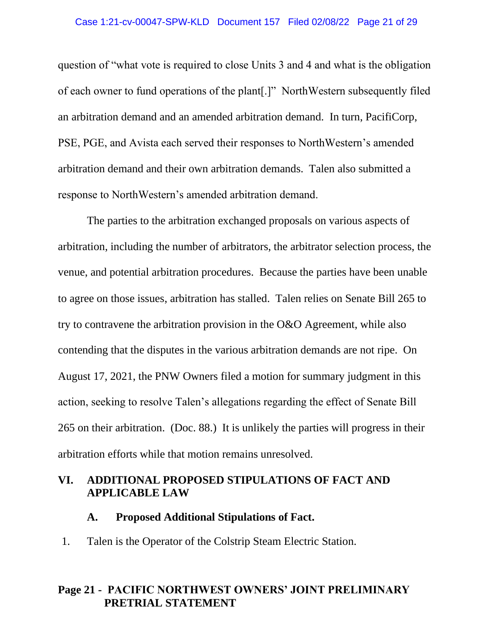#### Case 1:21-cv-00047-SPW-KLD Document 157 Filed 02/08/22 Page 21 of 29

question of "what vote is required to close Units 3 and 4 and what is the obligation of each owner to fund operations of the plant[.]" NorthWestern subsequently filed an arbitration demand and an amended arbitration demand. In turn, PacifiCorp, PSE, PGE, and Avista each served their responses to NorthWestern's amended arbitration demand and their own arbitration demands. Talen also submitted a response to NorthWestern's amended arbitration demand.

The parties to the arbitration exchanged proposals on various aspects of arbitration, including the number of arbitrators, the arbitrator selection process, the venue, and potential arbitration procedures. Because the parties have been unable to agree on those issues, arbitration has stalled. Talen relies on Senate Bill 265 to try to contravene the arbitration provision in the O&O Agreement, while also contending that the disputes in the various arbitration demands are not ripe. On August 17, 2021, the PNW Owners filed a motion for summary judgment in this action, seeking to resolve Talen's allegations regarding the effect of Senate Bill 265 on their arbitration. (Doc. 88.) It is unlikely the parties will progress in their arbitration efforts while that motion remains unresolved.

## **VI. ADDITIONAL PROPOSED STIPULATIONS OF FACT AND APPLICABLE LAW**

#### **A. Proposed Additional Stipulations of Fact.**

1. Talen is the Operator of the Colstrip Steam Electric Station.

#### **Page 21 - PACIFIC NORTHWEST OWNERS' JOINT PRELIMINARY PRETRIAL STATEMENT**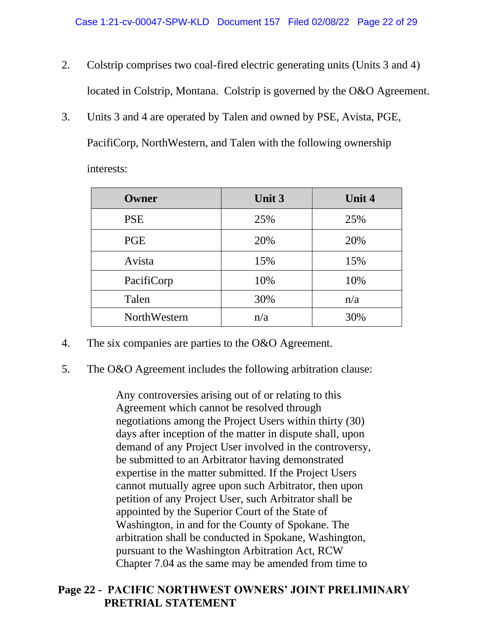- 2. Colstrip comprises two coal-fired electric generating units (Units 3 and 4) located in Colstrip, Montana. Colstrip is governed by the O&O Agreement.
- 3. Units 3 and 4 are operated by Talen and owned by PSE, Avista, PGE, PacifiCorp, NorthWestern, and Talen with the following ownership interests:

| Owner        | <b>Unit 3</b> | <b>Unit 4</b> |
|--------------|---------------|---------------|
| <b>PSE</b>   | 25%           | 25%           |
| <b>PGE</b>   | 20%           | 20%           |
| Avista       | 15%           | 15%           |
| PacifiCorp   | 10%           | 10%           |
| Talen        | 30%           | n/a           |
| NorthWestern | n/a           | 30%           |

- 4. The six companies are parties to the O&O Agreement.
- 5. The O&O Agreement includes the following arbitration clause:

Any controversies arising out of or relating to this Agreement which cannot be resolved through negotiations among the Project Users within thirty (30) days after inception of the matter in dispute shall, upon demand of any Project User involved in the controversy, be submitted to an Arbitrator having demonstrated expertise in the matter submitted. If the Project Users cannot mutually agree upon such Arbitrator, then upon petition of any Project User, such Arbitrator shall be appointed by the Superior Court of the State of Washington, in and for the County of Spokane. The arbitration shall be conducted in Spokane, Washington, pursuant to the Washington Arbitration Act, RCW Chapter 7.04 as the same may be amended from time to

## **Page 22 - PACIFIC NORTHWEST OWNERS' JOINT PRELIMINARY PRETRIAL STATEMENT**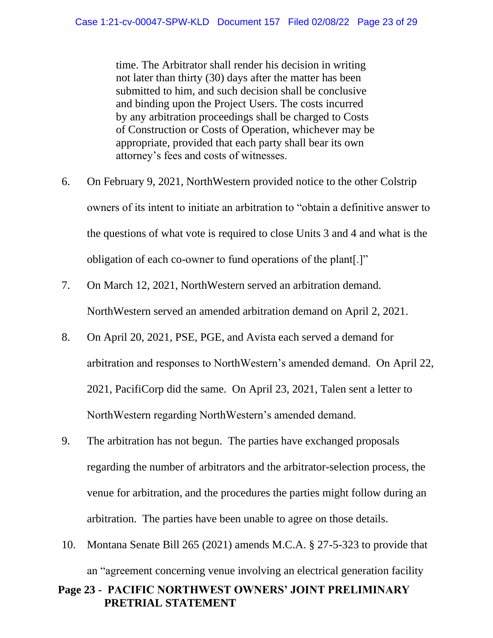time. The Arbitrator shall render his decision in writing not later than thirty (30) days after the matter has been submitted to him, and such decision shall be conclusive and binding upon the Project Users. The costs incurred by any arbitration proceedings shall be charged to Costs of Construction or Costs of Operation, whichever may be appropriate, provided that each party shall bear its own attorney's fees and costs of witnesses.

- 6. On February 9, 2021, NorthWestern provided notice to the other Colstrip owners of its intent to initiate an arbitration to "obtain a definitive answer to the questions of what vote is required to close Units 3 and 4 and what is the obligation of each co-owner to fund operations of the plant[.]"
- 7. On March 12, 2021, NorthWestern served an arbitration demand. NorthWestern served an amended arbitration demand on April 2, 2021.
- 8. On April 20, 2021, PSE, PGE, and Avista each served a demand for arbitration and responses to NorthWestern's amended demand. On April 22, 2021, PacifiCorp did the same. On April 23, 2021, Talen sent a letter to NorthWestern regarding NorthWestern's amended demand.
- 9. The arbitration has not begun. The parties have exchanged proposals regarding the number of arbitrators and the arbitrator-selection process, the venue for arbitration, and the procedures the parties might follow during an arbitration. The parties have been unable to agree on those details.
- 10. Montana Senate Bill 265 (2021) amends M.C.A. § 27-5-323 to provide that an "agreement concerning venue involving an electrical generation facility

## **Page 23 - PACIFIC NORTHWEST OWNERS' JOINT PRELIMINARY PRETRIAL STATEMENT**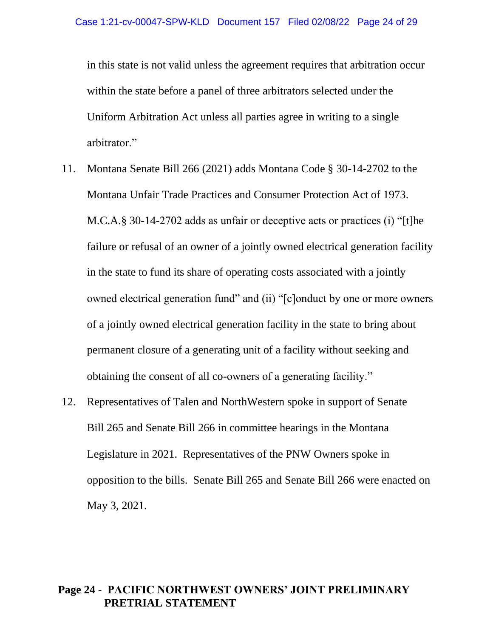in this state is not valid unless the agreement requires that arbitration occur within the state before a panel of three arbitrators selected under the Uniform Arbitration Act unless all parties agree in writing to a single arbitrator."

- 11. Montana Senate Bill 266 (2021) adds Montana Code § 30-14-2702 to the Montana Unfair Trade Practices and Consumer Protection Act of 1973. M.C.A.§ 30-14-2702 adds as unfair or deceptive acts or practices (i) "[t]he failure or refusal of an owner of a jointly owned electrical generation facility in the state to fund its share of operating costs associated with a jointly owned electrical generation fund" and (ii) "[c]onduct by one or more owners of a jointly owned electrical generation facility in the state to bring about permanent closure of a generating unit of a facility without seeking and obtaining the consent of all co-owners of a generating facility."
- 12. Representatives of Talen and NorthWestern spoke in support of Senate Bill 265 and Senate Bill 266 in committee hearings in the Montana Legislature in 2021. Representatives of the PNW Owners spoke in opposition to the bills. Senate Bill 265 and Senate Bill 266 were enacted on May 3, 2021.

## **Page 24 - PACIFIC NORTHWEST OWNERS' JOINT PRELIMINARY PRETRIAL STATEMENT**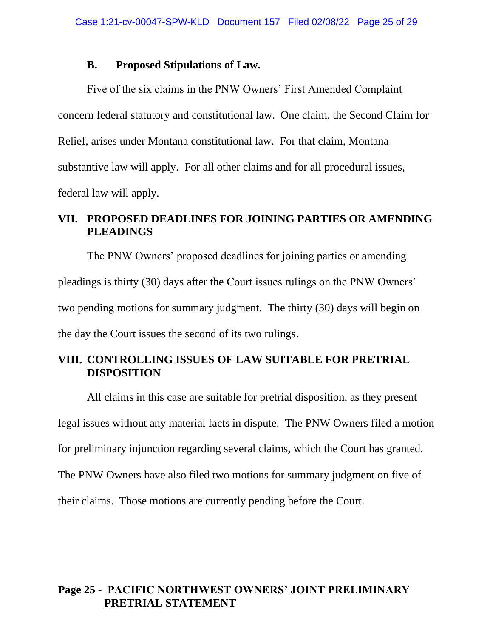#### **B. Proposed Stipulations of Law.**

Five of the six claims in the PNW Owners' First Amended Complaint concern federal statutory and constitutional law. One claim, the Second Claim for Relief, arises under Montana constitutional law. For that claim, Montana substantive law will apply. For all other claims and for all procedural issues, federal law will apply.

# **VII. PROPOSED DEADLINES FOR JOINING PARTIES OR AMENDING PLEADINGS**

The PNW Owners' proposed deadlines for joining parties or amending pleadings is thirty (30) days after the Court issues rulings on the PNW Owners' two pending motions for summary judgment. The thirty (30) days will begin on the day the Court issues the second of its two rulings.

# **VIII. CONTROLLING ISSUES OF LAW SUITABLE FOR PRETRIAL DISPOSITION**

All claims in this case are suitable for pretrial disposition, as they present legal issues without any material facts in dispute. The PNW Owners filed a motion for preliminary injunction regarding several claims, which the Court has granted. The PNW Owners have also filed two motions for summary judgment on five of their claims. Those motions are currently pending before the Court.

## **Page 25 - PACIFIC NORTHWEST OWNERS' JOINT PRELIMINARY PRETRIAL STATEMENT**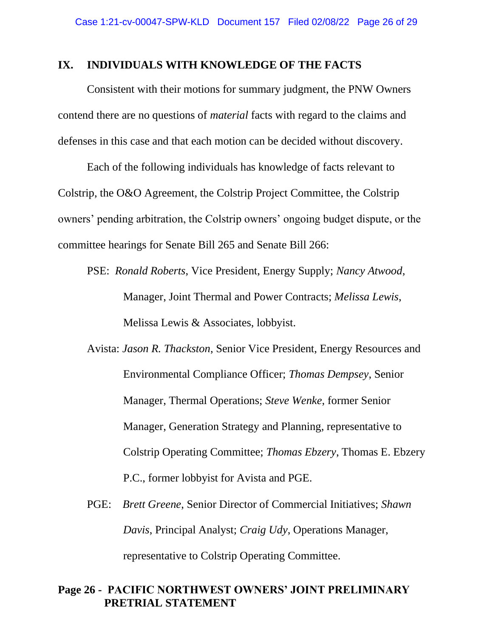#### **IX. INDIVIDUALS WITH KNOWLEDGE OF THE FACTS**

Consistent with their motions for summary judgment, the PNW Owners contend there are no questions of *material* facts with regard to the claims and defenses in this case and that each motion can be decided without discovery.

Each of the following individuals has knowledge of facts relevant to Colstrip, the O&O Agreement, the Colstrip Project Committee, the Colstrip owners' pending arbitration, the Colstrip owners' ongoing budget dispute, or the committee hearings for Senate Bill 265 and Senate Bill 266:

PSE: *Ronald Roberts*, Vice President, Energy Supply; *Nancy Atwood*, Manager, Joint Thermal and Power Contracts; *Melissa Lewis*, Melissa Lewis & Associates, lobbyist.

- Avista: *Jason R. Thackston*, Senior Vice President, Energy Resources and Environmental Compliance Officer; *Thomas Dempsey*, Senior Manager, Thermal Operations; *Steve Wenke*, former Senior Manager, Generation Strategy and Planning, representative to Colstrip Operating Committee; *Thomas Ebzery*, Thomas E. Ebzery P.C., former lobbyist for Avista and PGE.
- PGE: *Brett Greene*, Senior Director of Commercial Initiatives; *Shawn Davis*, Principal Analyst; *Craig Udy*, Operations Manager, representative to Colstrip Operating Committee.

#### **Page 26 - PACIFIC NORTHWEST OWNERS' JOINT PRELIMINARY PRETRIAL STATEMENT**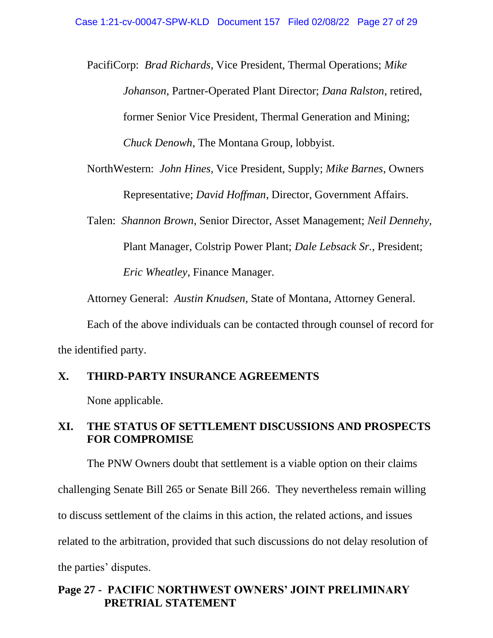PacifiCorp: *Brad Richards*, Vice President, Thermal Operations; *Mike Johanson*, Partner-Operated Plant Director; *Dana Ralston*, retired, former Senior Vice President, Thermal Generation and Mining; *Chuck Denowh*, The Montana Group, lobbyist.

- NorthWestern: *John Hines*, Vice President, Supply; *Mike Barnes*, Owners Representative; *David Hoffman*, Director, Government Affairs.
- Talen: *Shannon Brown*, Senior Director, Asset Management; *Neil Dennehy*, Plant Manager, Colstrip Power Plant; *Dale Lebsack Sr.*, President; *Eric Wheatley*, Finance Manager.

Attorney General: *Austin Knudsen*, State of Montana, Attorney General.

Each of the above individuals can be contacted through counsel of record for the identified party.

## **X. THIRD-PARTY INSURANCE AGREEMENTS**

None applicable.

## **XI. THE STATUS OF SETTLEMENT DISCUSSIONS AND PROSPECTS FOR COMPROMISE**

The PNW Owners doubt that settlement is a viable option on their claims challenging Senate Bill 265 or Senate Bill 266. They nevertheless remain willing to discuss settlement of the claims in this action, the related actions, and issues related to the arbitration, provided that such discussions do not delay resolution of the parties' disputes.

## **Page 27 - PACIFIC NORTHWEST OWNERS' JOINT PRELIMINARY PRETRIAL STATEMENT**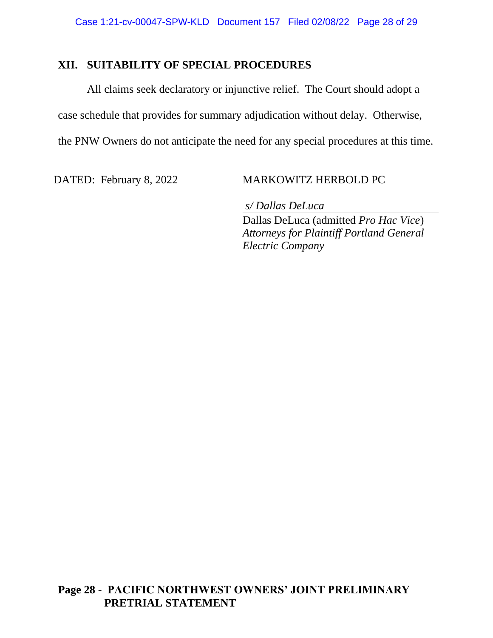## **XII. SUITABILITY OF SPECIAL PROCEDURES**

All claims seek declaratory or injunctive relief. The Court should adopt a case schedule that provides for summary adjudication without delay. Otherwise, the PNW Owners do not anticipate the need for any special procedures at this time.

### DATED: February 8, 2022 MARKOWITZ HERBOLD PC

*s/ Dallas DeLuca* Dallas DeLuca (admitted *Pro Hac Vice*) *Attorneys for Plaintiff Portland General Electric Company*

## **Page 28 - PACIFIC NORTHWEST OWNERS' JOINT PRELIMINARY PRETRIAL STATEMENT**